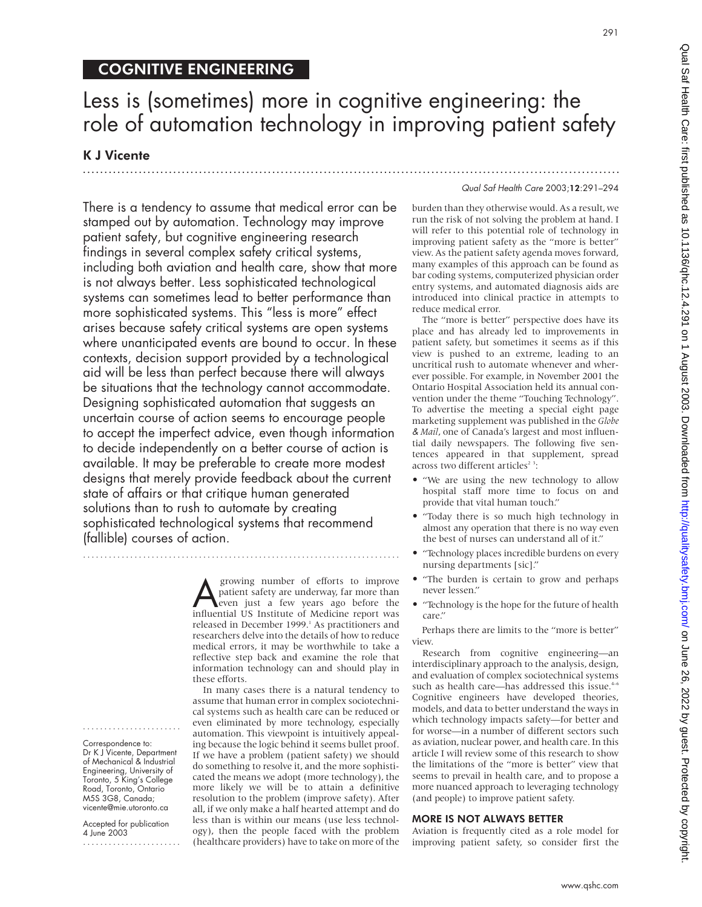### Less is (sometimes) more in cognitive engineering: the role of automation technology in improving patient safety

### **K J Vicente** .............<br>................

....................... Correspondence to: Dr K J Vicente, Department of Mechanical & Industrial Engineering, University of Toronto, 5 King's College Road, Toronto, Ontario M5S 3G8, Canada; vicente@mie.utoronto.ca Accepted for publication 4 June 2003 .......................

There is a tendency to assume that medical error can be stamped out by automation. Technology may improve patient safety, but cognitive engineering research findings in several complex safety critical systems, including both aviation and health care, show that more is not always better. Less sophisticated technological systems can sometimes lead to better performance than more sophisticated systems. This "less is more" effect arises because safety critical systems are open systems where unanticipated events are bound to occur. In these contexts, decision support provided by a technological aid will be less than perfect because there will always be situations that the technology cannot accommodate. Designing sophisticated automation that suggests an uncertain course of action seems to encourage people to accept the imperfect advice, even though information to decide independently on a better course of action is available. It may be preferable to create more modest designs that merely provide feedback about the current state of affairs or that critique human generated solutions than to rush to automate by creating sophisticated technological systems that recommend (fallible) courses of action.

..........................................................................

**A** growing number of efforts to improve<br>
patient safety are underway, far more than<br>
even just a few years ago before the<br>
influential IIS Institute of Medicine report was patient safety are underway, far more than influential US Institute of Medicine report was released in December 1999.<sup>1</sup> As practitioners and researchers delve into the details of how to reduce medical errors, it may be worthwhile to take a reflective step back and examine the role that information technology can and should play in these efforts.

In many cases there is a natural tendency to assume that human error in complex sociotechnical systems such as health care can be reduced or even eliminated by more technology, especially automation. This viewpoint is intuitively appealing because the logic behind it seems bullet proof. If we have a problem (patient safety) we should do something to resolve it, and the more sophisticated the means we adopt (more technology), the more likely we will be to attain a definitive resolution to the problem (improve safety). After all, if we only make a half hearted attempt and do less than is within our means (use less technology), then the people faced with the problem (healthcare providers) have to take on more of the

### Qual Saf Health Care 2003;12:291–294

burden than they otherwise would. As a result, we run the risk of not solving the problem at hand. I will refer to this potential role of technology in improving patient safety as the "more is better" view. As the patient safety agenda moves forward, many examples of this approach can be found as bar coding systems, computerized physician order entry systems, and automated diagnosis aids are introduced into clinical practice in attempts to reduce medical error.

The "more is better" perspective does have its place and has already led to improvements in patient safety, but sometimes it seems as if this view is pushed to an extreme, leading to an uncritical rush to automate whenever and wherever possible. For example, in November 2001 the Ontario Hospital Association held its annual convention under the theme "Touching Technology". To advertise the meeting a special eight page marketing supplement was published in the *Globe* & *Mail*, one of Canada's largest and most influential daily newspapers. The following five sentences appeared in that supplement, spread across two different articles<sup>23</sup>:

- "We are using the new technology to allow hospital staff more time to focus on and provide that vital human touch."
- "Today there is so much high technology in almost any operation that there is no way even the best of nurses can understand all of it."
- "Technology places incredible burdens on every nursing departments [sic]."
- "The burden is certain to grow and perhaps never lessen."
- "Technology is the hope for the future of health care."

Perhaps there are limits to the "more is better" view.

Research from cognitive engineering—an interdisciplinary approach to the analysis, design, and evaluation of complex sociotechnical systems such as health care—has addressed this issue.<sup>4-6</sup> Cognitive engineers have developed theories, models, and data to better understand the ways in which technology impacts safety—for better and for worse—in a number of different sectors such as aviation, nuclear power, and health care. In this article I will review some of this research to show the limitations of the "more is better" view that seems to prevail in health care, and to propose a more nuanced approach to leveraging technology (and people) to improve patient safety.

Aviation is frequently cited as a role model for improving patient safety, so consider first the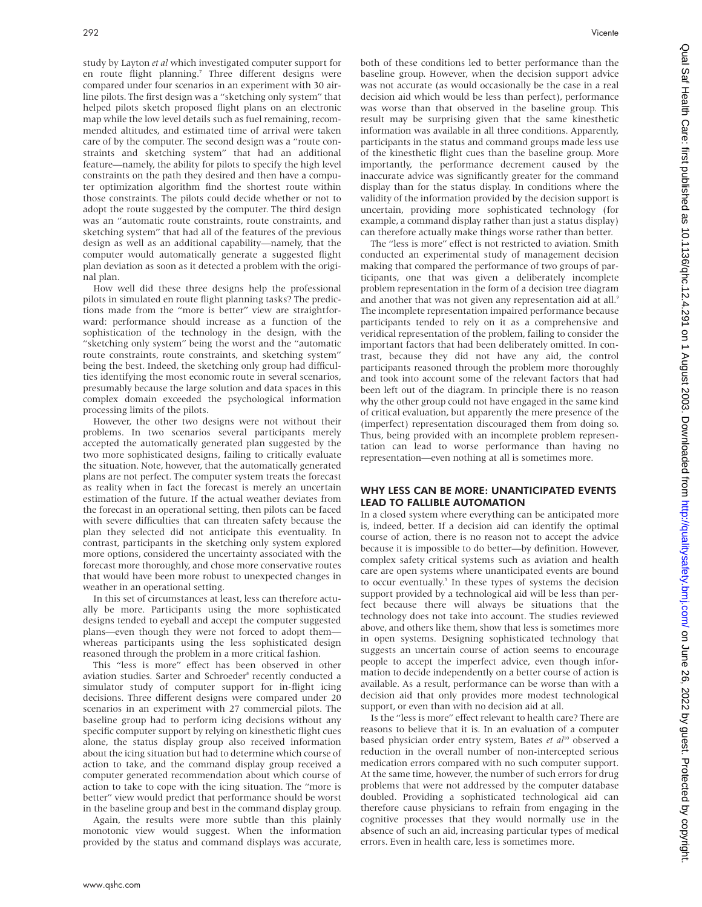study by Layton *et al* which investigated computer support for en route flight planning.<sup>7</sup> Three different designs were compared under four scenarios in an experiment with 30 airline pilots. The first design was a "sketching only system" that helped pilots sketch proposed flight plans on an electronic map while the low level details such as fuel remaining, recommended altitudes, and estimated time of arrival were taken care of by the computer. The second design was a "route constraints and sketching system" that had an additional feature—namely, the ability for pilots to specify the high level constraints on the path they desired and then have a computer optimization algorithm find the shortest route within those constraints. The pilots could decide whether or not to adopt the route suggested by the computer. The third design was an "automatic route constraints, route constraints, and sketching system" that had all of the features of the previous design as well as an additional capability—namely, that the computer would automatically generate a suggested flight plan deviation as soon as it detected a problem with the original plan.

How well did these three designs help the professional pilots in simulated en route flight planning tasks? The predictions made from the "more is better" view are straightforward: performance should increase as a function of the sophistication of the technology in the design, with the "sketching only system" being the worst and the "automatic route constraints, route constraints, and sketching system" being the best. Indeed, the sketching only group had difficulties identifying the most economic route in several scenarios, presumably because the large solution and data spaces in this complex domain exceeded the psychological information processing limits of the pilots.

However, the other two designs were not without their problems. In two scenarios several participants merely accepted the automatically generated plan suggested by the two more sophisticated designs, failing to critically evaluate the situation. Note, however, that the automatically generated plans are not perfect. The computer system treats the forecast as reality when in fact the forecast is merely an uncertain estimation of the future. If the actual weather deviates from the forecast in an operational setting, then pilots can be faced with severe difficulties that can threaten safety because the plan they selected did not anticipate this eventuality. In contrast, participants in the sketching only system explored more options, considered the uncertainty associated with the forecast more thoroughly, and chose more conservative routes that would have been more robust to unexpected changes in weather in an operational setting.

In this set of circumstances at least, less can therefore actually be more. Participants using the more sophisticated designs tended to eyeball and accept the computer suggested plans—even though they were not forced to adopt them whereas participants using the less sophisticated design reasoned through the problem in a more critical fashion.

This "less is more" effect has been observed in other aviation studies. Sarter and Schroeder<sup>8</sup> recently conducted a simulator study of computer support for in-flight icing decisions. Three different designs were compared under 20 scenarios in an experiment with 27 commercial pilots. The baseline group had to perform icing decisions without any specific computer support by relying on kinesthetic flight cues alone, the status display group also received information about the icing situation but had to determine which course of action to take, and the command display group received a computer generated recommendation about which course of action to take to cope with the icing situation. The "more is better" view would predict that performance should be worst in the baseline group and best in the command display group.

Again, the results were more subtle than this plainly monotonic view would suggest. When the information provided by the status and command displays was accurate,

both of these conditions led to better performance than the baseline group. However, when the decision support advice was not accurate (as would occasionally be the case in a real decision aid which would be less than perfect), performance was worse than that observed in the baseline group. This result may be surprising given that the same kinesthetic information was available in all three conditions. Apparently, participants in the status and command groups made less use of the kinesthetic flight cues than the baseline group. More importantly, the performance decrement caused by the inaccurate advice was significantly greater for the command display than for the status display. In conditions where the validity of the information provided by the decision support is uncertain, providing more sophisticated technology (for example, a command display rather than just a status display) can therefore actually make things worse rather than better.

The "less is more" effect is not restricted to aviation. Smith conducted an experimental study of management decision making that compared the performance of two groups of participants, one that was given a deliberately incomplete problem representation in the form of a decision tree diagram and another that was not given any representation aid at all.<sup>9</sup> The incomplete representation impaired performance because participants tended to rely on it as a comprehensive and veridical representation of the problem, failing to consider the important factors that had been deliberately omitted. In contrast, because they did not have any aid, the control participants reasoned through the problem more thoroughly and took into account some of the relevant factors that had been left out of the diagram. In principle there is no reason why the other group could not have engaged in the same kind of critical evaluation, but apparently the mere presence of the (imperfect) representation discouraged them from doing so. Thus, being provided with an incomplete problem representation can lead to worse performance than having no representation—even nothing at all is sometimes more.

# WHY LESS CAN BE MORE: UNANTICIPATED EVENTS<br>LEAD TO FALLIBLE AUTOMATION

In a closed system where everything can be anticipated more is, indeed, better. If a decision aid can identify the optimal course of action, there is no reason not to accept the advice because it is impossible to do better—by definition. However, complex safety critical systems such as aviation and health care are open systems where unanticipated events are bound to occur eventually.<sup>5</sup> In these types of systems the decision support provided by a technological aid will be less than perfect because there will always be situations that the technology does not take into account. The studies reviewed above, and others like them, show that less is sometimes more in open systems. Designing sophisticated technology that suggests an uncertain course of action seems to encourage people to accept the imperfect advice, even though information to decide independently on a better course of action is available. As a result, performance can be worse than with a decision aid that only provides more modest technological support, or even than with no decision aid at all.

Is the "less is more" effect relevant to health care? There are reasons to believe that it is. In an evaluation of a computer based physician order entry system, Bates *et al*<sup>10</sup> observed a reduction in the overall number of non-intercepted serious medication errors compared with no such computer support. At the same time, however, the number of such errors for drug problems that were not addressed by the computer database doubled. Providing a sophisticated technological aid can therefore cause physicians to refrain from engaging in the cognitive processes that they would normally use in the absence of such an aid, increasing particular types of medical errors. Even in health care, less is sometimes more.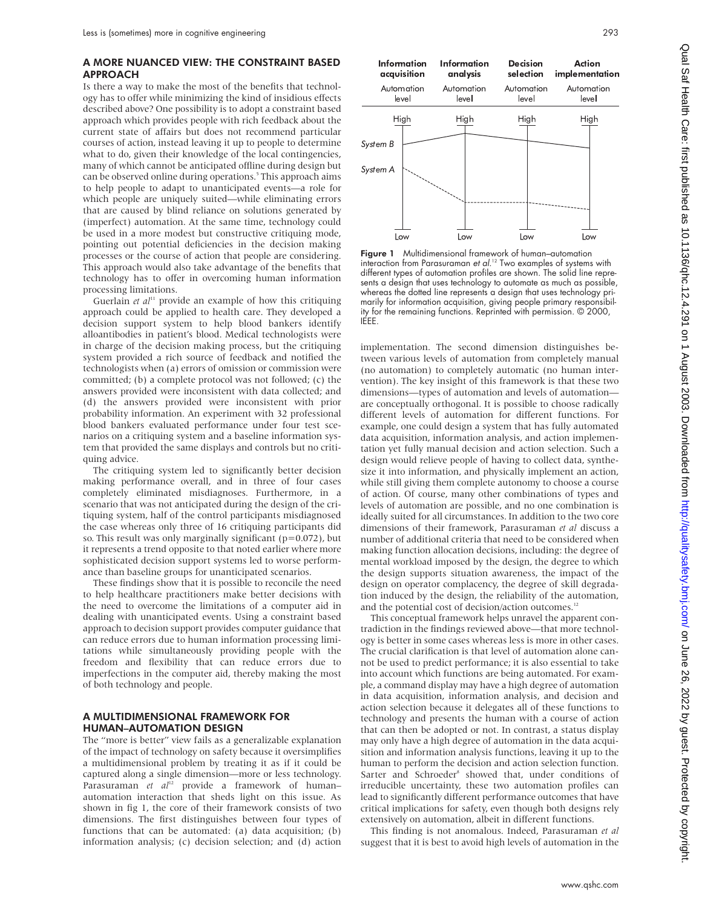# A MORE NUANCED VIEW: THE CONSTRAINT BASED

Is there a way to make the most of the benefits that technology has to offer while minimizing the kind of insidious effects described above? One possibility is to adopt a constraint based approach which provides people with rich feedback about the current state of affairs but does not recommend particular courses of action, instead leaving it up to people to determine what to do, given their knowledge of the local contingencies, many of which cannot be anticipated offline during design but can be observed online during operations.<sup>5</sup> This approach aims to help people to adapt to unanticipated events—a role for which people are uniquely suited—while eliminating errors that are caused by blind reliance on solutions generated by (imperfect) automation. At the same time, technology could be used in a more modest but constructive critiquing mode, pointing out potential deficiencies in the decision making processes or the course of action that people are considering. This approach would also take advantage of the benefits that technology has to offer in overcoming human information processing limitations.

Guerlain *et al*<sup>11</sup> provide an example of how this critiquing approach could be applied to health care. They developed a decision support system to help blood bankers identify alloantibodies in patient's blood. Medical technologists were in charge of the decision making process, but the critiquing system provided a rich source of feedback and notified the technologists when (a) errors of omission or commission were committed; (b) a complete protocol was not followed; (c) the answers provided were inconsistent with data collected; and (d) the answers provided were inconsistent with prior probability information. An experiment with 32 professional blood bankers evaluated performance under four test scenarios on a critiquing system and a baseline information system that provided the same displays and controls but no critiquing advice.

The critiquing system led to significantly better decision making performance overall, and in three of four cases completely eliminated misdiagnoses. Furthermore, in a scenario that was not anticipated during the design of the critiquing system, half of the control participants misdiagnosed the case whereas only three of 16 critiquing participants did so. This result was only marginally significant ( $p=0.072$ ), but it represents a trend opposite to that noted earlier where more sophisticated decision support systems led to worse performance than baseline groups for unanticipated scenarios.

These findings show that it is possible to reconcile the need to help healthcare practitioners make better decisions with the need to overcome the limitations of a computer aid in dealing with unanticipated events. Using a constraint based approach to decision support provides computer guidance that can reduce errors due to human information processing limitations while simultaneously providing people with the freedom and flexibility that can reduce errors due to imperfections in the computer aid, thereby making the most of both technology and people.

# A MULTIDIMENSIONAL FRAMEWORK FOR

The "more is better" view fails as a generalizable explanation of the impact of technology on safety because it oversimplifies a multidimensional problem by treating it as if it could be captured along a single dimension—more or less technology. Parasuraman et al<sup>12</sup> provide a framework of humanautomation interaction that sheds light on this issue. As shown in fig 1, the core of their framework consists of two dimensions. The first distinguishes between four types of functions that can be automated: (a) data acquisition; (b) information analysis; (c) decision selection; and (d) action



**Figure 1** Multidimensional framework of human–automation<br>interaction from Parasuraman *et al*.'<sup>2</sup> Two examples of systems with different types of automation profiles are shown. The solid line represents a design that uses technology to automate as much as possible, whereas the dotted line represents a design that uses technology primarily for information acquisition, giving people primary responsibility for the remaining functions. Reprinted with permission. © 2000, IEEE.

implementation. The second dimension distinguishes between various levels of automation from completely manual (no automation) to completely automatic (no human intervention). The key insight of this framework is that these two dimensions—types of automation and levels of automation are conceptually orthogonal. It is possible to choose radically different levels of automation for different functions. For example, one could design a system that has fully automated data acquisition, information analysis, and action implementation yet fully manual decision and action selection. Such a design would relieve people of having to collect data, synthesize it into information, and physically implement an action, while still giving them complete autonomy to choose a course of action. Of course, many other combinations of types and levels of automation are possible, and no one combination is ideally suited for all circumstances. In addition to the two core dimensions of their framework, Parasuraman *et al* discuss a number of additional criteria that need to be considered when making function allocation decisions, including: the degree of mental workload imposed by the design, the degree to which the design supports situation awareness, the impact of the design on operator complacency, the degree of skill degradation induced by the design, the reliability of the automation, and the potential cost of decision/action outcomes.<sup>12</sup>

This conceptual framework helps unravel the apparent contradiction in the findings reviewed above—that more technology is better in some cases whereas less is more in other cases. The crucial clarification is that level of automation alone cannot be used to predict performance; it is also essential to take into account which functions are being automated. For example, a command display may have a high degree of automation in data acquisition, information analysis, and decision and action selection because it delegates all of these functions to technology and presents the human with a course of action that can then be adopted or not. In contrast, a status display may only have a high degree of automation in the data acquisition and information analysis functions, leaving it up to the human to perform the decision and action selection function. Sarter and Schroeder<sup>8</sup> showed that, under conditions of irreducible uncertainty, these two automation profiles can lead to significantly different performance outcomes that have critical implications for safety, even though both designs rely extensively on automation, albeit in different functions.

This finding is not anomalous. Indeed, Parasuraman *et al* suggest that it is best to avoid high levels of automation in the